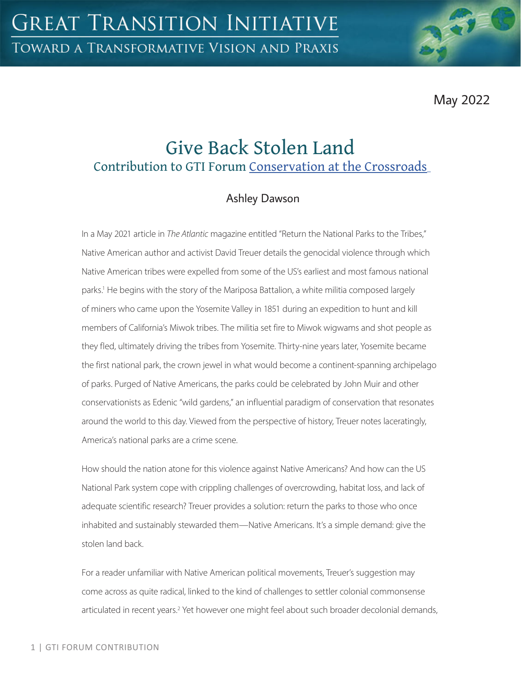May 2022

# Give Back Stolen Land Contribution to GTI Forum [Conservation at the Crossroads](https://greattransition.org/gti-forum/conservation-at-the-crossroads)

# Ashley Dawson

In a May 2021 article in *The Atlantic* magazine entitled "Return the National Parks to the Tribes," Native American author and activist David Treuer details the genocidal violence through which Native American tribes were expelled from some of the US's earliest and most famous national parks.<sup>1</sup> He begins with the story of the Mariposa Battalion, a white militia composed largely of miners who came upon the Yosemite Valley in 1851 during an expedition to hunt and kill members of California's Miwok tribes. The militia set fire to Miwok wigwams and shot people as they fled, ultimately driving the tribes from Yosemite. Thirty-nine years later, Yosemite became the first national park, the crown jewel in what would become a continent-spanning archipelago of parks. Purged of Native Americans, the parks could be celebrated by John Muir and other conservationists as Edenic "wild gardens," an influential paradigm of conservation that resonates around the world to this day. Viewed from the perspective of history, Treuer notes laceratingly, America's national parks are a crime scene.

How should the nation atone for this violence against Native Americans? And how can the US National Park system cope with crippling challenges of overcrowding, habitat loss, and lack of adequate scientific research? Treuer provides a solution: return the parks to those who once inhabited and sustainably stewarded them—Native Americans. It's a simple demand: give the stolen land back.

For a reader unfamiliar with Native American political movements, Treuer's suggestion may come across as quite radical, linked to the kind of challenges to settler colonial commonsense articulated in recent years.<sup>2</sup> Yet however one might feel about such broader decolonial demands,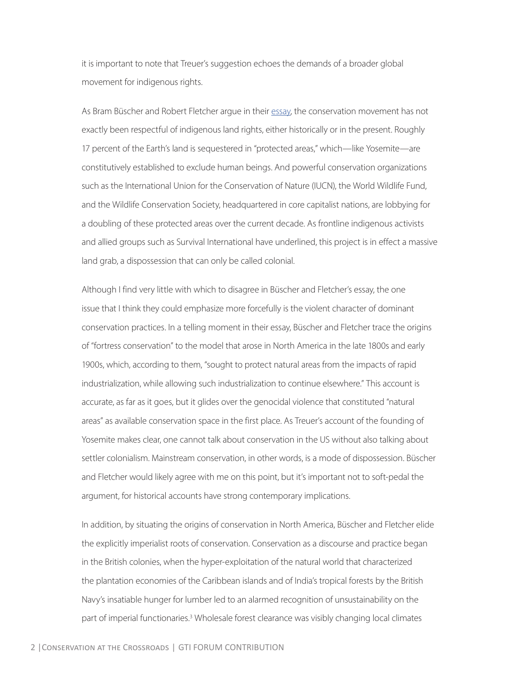it is important to note that Treuer's suggestion echoes the demands of a broader global movement for indigenous rights.

As Bram Büscher and Robert Fletcher argue in their [essay](https://greattransition.org/gti-forum/conservation-buscher-fletcher), the conservation movement has not exactly been respectful of indigenous land rights, either historically or in the present. Roughly 17 percent of the Earth's land is sequestered in "protected areas," which—like Yosemite—are constitutively established to exclude human beings. And powerful conservation organizations such as the International Union for the Conservation of Nature (IUCN), the World Wildlife Fund, and the Wildlife Conservation Society, headquartered in core capitalist nations, are lobbying for a doubling of these protected areas over the current decade. As frontline indigenous activists and allied groups such as Survival International have underlined, this project is in effect a massive land grab, a dispossession that can only be called colonial.

Although I find very little with which to disagree in Büscher and Fletcher's essay, the one issue that I think they could emphasize more forcefully is the violent character of dominant conservation practices. In a telling moment in their essay, Büscher and Fletcher trace the origins of "fortress conservation" to the model that arose in North America in the late 1800s and early 1900s, which, according to them, "sought to protect natural areas from the impacts of rapid industrialization, while allowing such industrialization to continue elsewhere." This account is accurate, as far as it goes, but it glides over the genocidal violence that constituted "natural areas" as available conservation space in the first place. As Treuer's account of the founding of Yosemite makes clear, one cannot talk about conservation in the US without also talking about settler colonialism. Mainstream conservation, in other words, is a mode of dispossession. Büscher and Fletcher would likely agree with me on this point, but it's important not to soft-pedal the argument, for historical accounts have strong contemporary implications.

In addition, by situating the origins of conservation in North America, Büscher and Fletcher elide the explicitly imperialist roots of conservation. Conservation as a discourse and practice began in the British colonies, when the hyper-exploitation of the natural world that characterized the plantation economies of the Caribbean islands and of India's tropical forests by the British Navy's insatiable hunger for lumber led to an alarmed recognition of unsustainability on the part of imperial functionaries.<sup>3</sup> Wholesale forest clearance was visibly changing local climates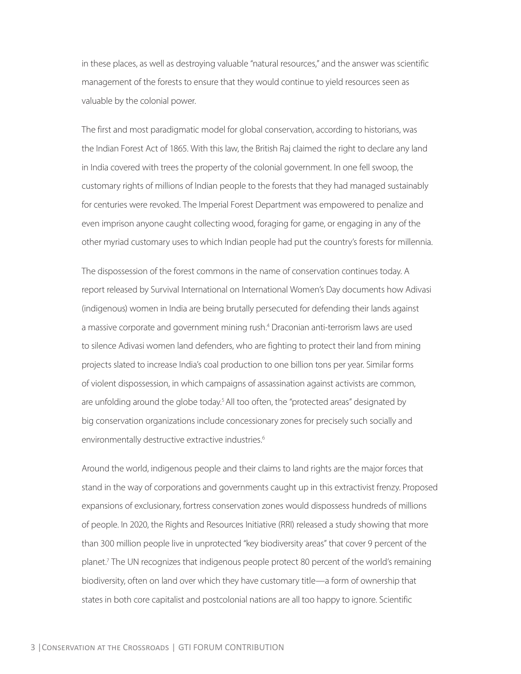in these places, as well as destroying valuable "natural resources," and the answer was scientific management of the forests to ensure that they would continue to yield resources seen as valuable by the colonial power.

The first and most paradigmatic model for global conservation, according to historians, was the Indian Forest Act of 1865. With this law, the British Raj claimed the right to declare any land in India covered with trees the property of the colonial government. In one fell swoop, the customary rights of millions of Indian people to the forests that they had managed sustainably for centuries were revoked. The Imperial Forest Department was empowered to penalize and even imprison anyone caught collecting wood, foraging for game, or engaging in any of the other myriad customary uses to which Indian people had put the country's forests for millennia.

The dispossession of the forest commons in the name of conservation continues today. A report released by Survival International on International Women's Day documents how Adivasi (indigenous) women in India are being brutally persecuted for defending their lands against a massive corporate and government mining rush.<sup>4</sup> Draconian anti-terrorism laws are used to silence Adivasi women land defenders, who are fighting to protect their land from mining projects slated to increase India's coal production to one billion tons per year. Similar forms of violent dispossession, in which campaigns of assassination against activists are common, are unfolding around the globe today.<sup>5</sup> All too often, the "protected areas" designated by big conservation organizations include concessionary zones for precisely such socially and environmentally destructive extractive industries.<sup>6</sup>

Around the world, indigenous people and their claims to land rights are the major forces that stand in the way of corporations and governments caught up in this extractivist frenzy. Proposed expansions of exclusionary, fortress conservation zones would dispossess hundreds of millions of people. In 2020, the Rights and Resources Initiative (RRI) released a study showing that more than 300 million people live in unprotected "key biodiversity areas" that cover 9 percent of the planet.7 The UN recognizes that indigenous people protect 80 percent of the world's remaining biodiversity, often on land over which they have customary title—a form of ownership that states in both core capitalist and postcolonial nations are all too happy to ignore. Scientific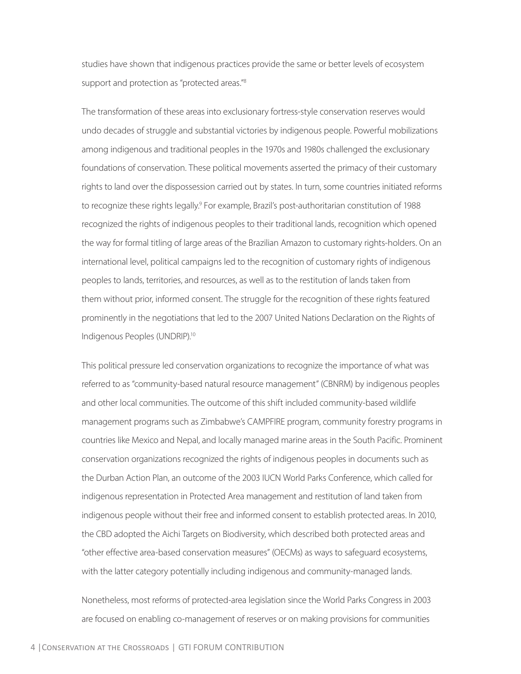studies have shown that indigenous practices provide the same or better levels of ecosystem support and protection as "protected areas."<sup>8</sup>

The transformation of these areas into exclusionary fortress-style conservation reserves would undo decades of struggle and substantial victories by indigenous people. Powerful mobilizations among indigenous and traditional peoples in the 1970s and 1980s challenged the exclusionary foundations of conservation. These political movements asserted the primacy of their customary rights to land over the dispossession carried out by states. In turn, some countries initiated reforms to recognize these rights legally.<sup>9</sup> For example, Brazil's post-authoritarian constitution of 1988 recognized the rights of indigenous peoples to their traditional lands, recognition which opened the way for formal titling of large areas of the Brazilian Amazon to customary rights-holders. On an international level, political campaigns led to the recognition of customary rights of indigenous peoples to lands, territories, and resources, as well as to the restitution of lands taken from them without prior, informed consent. The struggle for the recognition of these rights featured prominently in the negotiations that led to the 2007 United Nations Declaration on the Rights of Indigenous Peoples (UNDRIP).10

This political pressure led conservation organizations to recognize the importance of what was referred to as "community-based natural resource management" (CBNRM) by indigenous peoples and other local communities. The outcome of this shift included community-based wildlife management programs such as Zimbabwe's CAMPFIRE program, community forestry programs in countries like Mexico and Nepal, and locally managed marine areas in the South Pacific. Prominent conservation organizations recognized the rights of indigenous peoples in documents such as the Durban Action Plan, an outcome of the 2003 IUCN World Parks Conference, which called for indigenous representation in Protected Area management and restitution of land taken from indigenous people without their free and informed consent to establish protected areas. In 2010, the CBD adopted the Aichi Targets on Biodiversity, which described both protected areas and "other effective area-based conservation measures" (OECMs) as ways to safeguard ecosystems, with the latter category potentially including indigenous and community-managed lands.

Nonetheless, most reforms of protected-area legislation since the World Parks Congress in 2003 are focused on enabling co-management of reserves or on making provisions for communities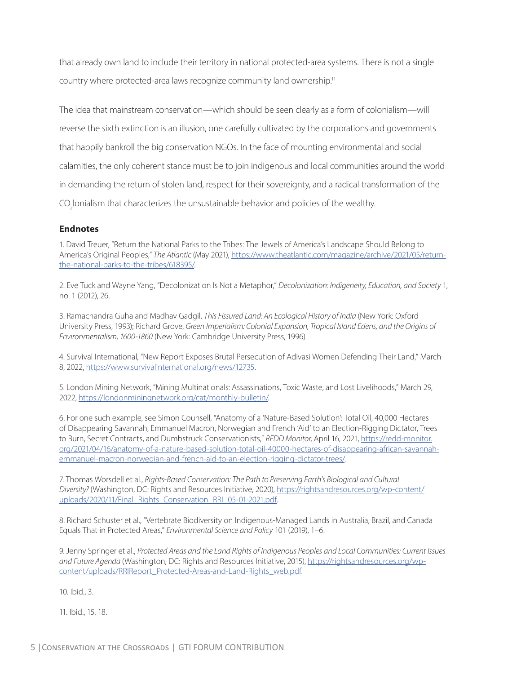that already own land to include their territory in national protected-area systems. There is not a single country where protected-area laws recognize community land ownership.<sup>11</sup>

The idea that mainstream conservation—which should be seen clearly as a form of colonialism—will reverse the sixth extinction is an illusion, one carefully cultivated by the corporations and governments that happily bankroll the big conservation NGOs. In the face of mounting environmental and social calamities, the only coherent stance must be to join indigenous and local communities around the world in demanding the return of stolen land, respect for their sovereignty, and a radical transformation of the CO<sub>2</sub>lonialism that characterizes the unsustainable behavior and policies of the wealthy.

#### **Endnotes**

1. David Treuer, "Return the National Parks to the Tribes: The Jewels of America's Landscape Should Belong to America's Original Peoples," *The Atlantic* (May 2021), [https://www.theatlantic.com/magazine/archive/2021/05/return](https://www.theatlantic.com/magazine/archive/2021/05/return-the-national-parks-to-the-tribes/618395/)[the-national-parks-to-the-tribes/618395/](https://www.theatlantic.com/magazine/archive/2021/05/return-the-national-parks-to-the-tribes/618395/).

2. Eve Tuck and Wayne Yang, "Decolonization Is Not a Metaphor," *Decolonization: Indigeneity, Education, and Society* 1, no. 1 (2012), 26.

3. Ramachandra Guha and Madhav Gadgil, *This Fissured Land: An Ecological History of India* (New York: Oxford University Press, 1993); Richard Grove, *Green Imperialism: Colonial Expansion, Tropical Island Edens, and the Origins of Environmentalism, 1600-1860* (New York: Cambridge University Press, 1996).

4. Survival International, "New Report Exposes Brutal Persecution of Adivasi Women Defending Their Land," March 8, 2022,<https://www.survivalinternational.org/news/12735>.

5. London Mining Network, "Mining Multinationals: Assassinations, Toxic Waste, and Lost Livelihoods," March 29, 2022,<https://londonminingnetwork.org/cat/monthly-bulletin/>.

6. For one such example, see Simon Counsell, "Anatomy of a 'Nature-Based Solution': Total Oil, 40,000 Hectares of Disappearing Savannah, Emmanuel Macron, Norwegian and French 'Aid' to an Election-Rigging Dictator, Trees to Burn, Secret Contracts, and Dumbstruck Conservationists," *REDD Monitor*, April 16, 2021, [https://redd-monitor.](https://redd-monitor.org/2021/04/16/anatomy-of-a-nature-based-solution-total-oil-40000-hectares-of-disappearing-african-savannah-emmanuel-macron-norwegian-and-french-aid-to-an-election-rigging-dictator-trees/) [org/2021/04/16/anatomy-of-a-nature-based-solution-total-oil-40000-hectares-of-disappearing-african-savannah](https://redd-monitor.org/2021/04/16/anatomy-of-a-nature-based-solution-total-oil-40000-hectares-of-disappearing-african-savannah-emmanuel-macron-norwegian-and-french-aid-to-an-election-rigging-dictator-trees/)[emmanuel-macron-norwegian-and-french-aid-to-an-election-rigging-dictator-trees/.](https://redd-monitor.org/2021/04/16/anatomy-of-a-nature-based-solution-total-oil-40000-hectares-of-disappearing-african-savannah-emmanuel-macron-norwegian-and-french-aid-to-an-election-rigging-dictator-trees/)

7. Thomas Worsdell et al., *Rights-Based Conservation: The Path to Preserving Earth's Biological and Cultural Diversity?* (Washington, DC: Rights and Resources Initiative, 2020), [https://rightsandresources.org/wp-content/](https://rightsandresources.org/wp-content/uploads/2020/11/Final_Rights_Conservation_RRI_05-01-2021.pdf) [uploads/2020/11/Final\\_Rights\\_Conservation\\_RRI\\_05-01-2021.pdf](https://rightsandresources.org/wp-content/uploads/2020/11/Final_Rights_Conservation_RRI_05-01-2021.pdf).

8. Richard Schuster et al., "Vertebrate Biodiversity on Indigenous-Managed Lands in Australia, Brazil, and Canada Equals That in Protected Areas," *Environmental Science and Policy* 101 (2019), 1–6.

9. Jenny Springer et al., *Protected Areas and the Land Rights of Indigenous Peoples and Local Communities: Current Issues and Future Agenda* (Washington, DC: Rights and Resources Initiative, 2015), [https://rightsandresources.org/wp](https://rightsandresources.org/wp-content/uploads/RRIReport_Protected-Areas-and-Land-Rights_web.pdf)[content/uploads/RRIReport\\_Protected-Areas-and-Land-Rights\\_web.pdf](https://rightsandresources.org/wp-content/uploads/RRIReport_Protected-Areas-and-Land-Rights_web.pdf).

10. Ibid., 3.

11. Ibid., 15, 18.